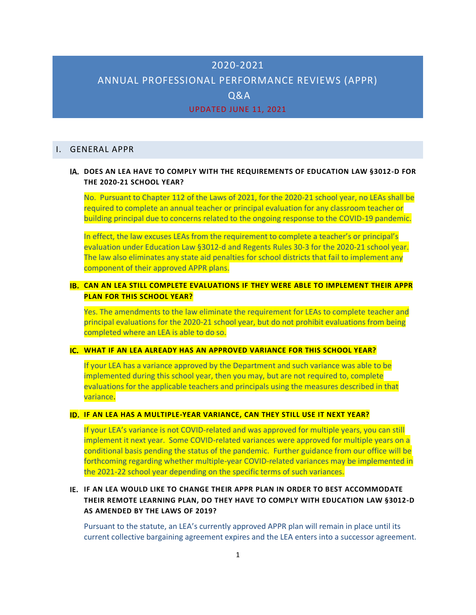# 2020-2021

# ANNUAL PROFESSIONAL PERFORMANCE REVIEWS (APPR)

Q&A

### UPDATED JUNE 11, 2021

### I. GENERAL APPR

## **DOES AN LEA HAVE TO COMPLY WITH THE REQUIREMENTS OF EDUCATION LAW §3012-D FOR THE 2020-21 SCHOOL YEAR?**

No. Pursuant to Chapter 112 of the Laws of 2021, for the 2020-21 school year, no LEAs shall be required to complete an annual teacher or principal evaluation for any classroom teacher or building principal due to concerns related to the ongoing response to the COVID-19 pandemic.

In effect, the law excuses LEAs from the requirement to complete a teacher's or principal's evaluation under Education Law §3012-d and Regents Rules 30-3 for the 2020-21 school year. The law also eliminates any state aid penalties for school districts that fail to implement any component of their approved APPR plans.

## **CAN AN LEA STILL COMPLETE EVALUATIONS IF THEY WERE ABLE TO IMPLEMENT THEIR APPR PLAN FOR THIS SCHOOL YEAR?**

Yes. The amendments to the law eliminate the requirement for LEAs to complete teacher and principal evaluations for the 2020-21 school year, but do not prohibit evaluations from being completed where an LEA is able to do so.

### **WHAT IF AN LEA ALREADY HAS AN APPROVED VARIANCE FOR THIS SCHOOL YEAR?**

If your LEA has a variance approved by the Department and such variance was able to be implemented during this school year, then you may, but are not required to, complete evaluations for the applicable teachers and principals using the measures described in that variance.

### **IF AN LEA HAS A MULTIPLE-YEAR VARIANCE, CAN THEY STILL USE IT NEXT YEAR?**

If your LEA's variance is not COVID-related and was approved for multiple years, you can still implement it next year. Some COVID-related variances were approved for multiple years on a conditional basis pending the status of the pandemic. Further guidance from our office will be forthcoming regarding whether multiple-year COVID-related variances may be implemented in the 2021-22 school year depending on the specific terms of such variances.

# **IF AN LEA WOULD LIKE TO CHANGE THEIR APPR PLAN IN ORDER TO BEST ACCOMMODATE THEIR REMOTE LEARNING PLAN, DO THEY HAVE TO COMPLY WITH EDUCATION LAW §3012-D AS AMENDED BY THE LAWS OF 2019?**

Pursuant to the statute, an LEA's currently approved APPR plan will remain in place until its current collective bargaining agreement expires and the LEA enters into a successor agreement.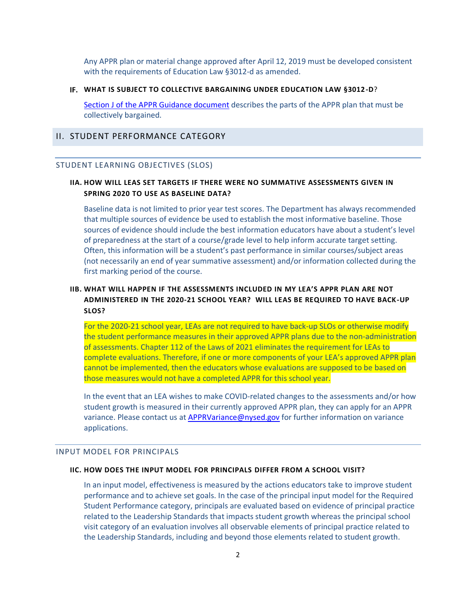Any APPR plan or material change approved after April 12, 2019 must be developed consistent with the requirements of Education Law §3012-d as amended.

#### **WHAT IS SUBJECT TO COLLECTIVE BARGAINING UNDER EDUCATION LAW §3012-D**?

[Section J of the APPR Guidance document](http://www.nysed.gov/educator-quality/appr-statute-regulations-and-guidance) describes the parts of the APPR plan that must be collectively bargained.

## II. STUDENT PERFORMANCE CATEGORY

#### STUDENT LEARNING OBJECTIVES (SLOS)

### **IIA. HOW WILL LEAS SET TARGETS IF THERE WERE NO SUMMATIVE ASSESSMENTS GIVEN IN SPRING 2020 TO USE AS BASELINE DATA?**

Baseline data is not limited to prior year test scores. The Department has always recommended that multiple sources of evidence be used to establish the most informative baseline. Those sources of evidence should include the best information educators have about a student's level of preparedness at the start of a course/grade level to help inform accurate target setting. Often, this information will be a student's past performance in similar courses/subject areas (not necessarily an end of year summative assessment) and/or information collected during the first marking period of the course.

# **IIB. WHAT WILL HAPPEN IF THE ASSESSMENTS INCLUDED IN MY LEA'S APPR PLAN ARE NOT ADMINISTERED IN THE 2020-21 SCHOOL YEAR? WILL LEAS BE REQUIRED TO HAVE BACK-UP SLOS?**

For the 2020-21 school year, LEAs are not required to have back-up SLOs or otherwise modify the student performance measures in their approved APPR plans due to the non-administration of assessments. Chapter 112 of the Laws of 2021 eliminates the requirement for LEAs to complete evaluations. Therefore, if one or more components of your LEA's approved APPR plan cannot be implemented, then the educators whose evaluations are supposed to be based on those measures would not have a completed APPR for this school year.

In the event that an LEA wishes to make COVID-related changes to the assessments and/or how student growth is measured in their currently approved APPR plan, they can apply for an APPR variance. Please contact us at [APPRVariance@nysed.gov](mailto:APPRVariance@nysed.gov) for further information on variance applications.

#### INPUT MODEL FOR PRINCIPALS

#### **IIC. HOW DOES THE INPUT MODEL FOR PRINCIPALS DIFFER FROM A SCHOOL VISIT?**

In an input model, effectiveness is measured by the actions educators take to improve student performance and to achieve set goals. In the case of the principal input model for the Required Student Performance category, principals are evaluated based on evidence of principal practice related to the Leadership Standards that impacts student growth whereas the principal school visit category of an evaluation involves all observable elements of principal practice related to the Leadership Standards, including and beyond those elements related to student growth.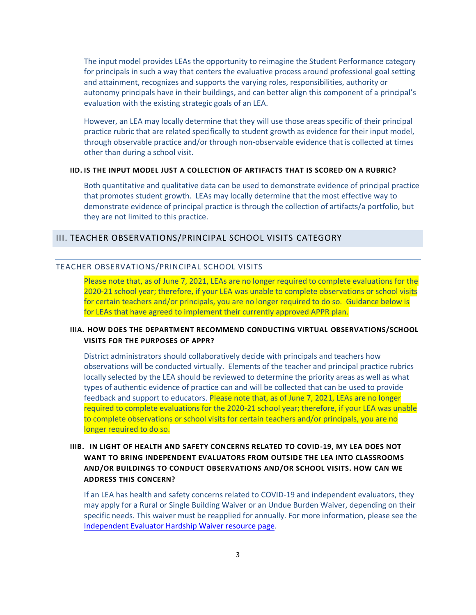The input model provides LEAs the opportunity to reimagine the Student Performance category for principals in such a way that centers the evaluative process around professional goal setting and attainment, recognizes and supports the varying roles, responsibilities, authority or autonomy principals have in their buildings, and can better align this component of a principal's evaluation with the existing strategic goals of an LEA.

However, an LEA may locally determine that they will use those areas specific of their principal practice rubric that are related specifically to student growth as evidence for their input model, through observable practice and/or through non-observable evidence that is collected at times other than during a school visit.

#### **IID. IS THE INPUT MODEL JUST A COLLECTION OF ARTIFACTS THAT IS SCORED ON A RUBRIC?**

Both quantitative and qualitative data can be used to demonstrate evidence of principal practice that promotes student growth. LEAs may locally determine that the most effective way to demonstrate evidence of principal practice is through the collection of artifacts/a portfolio, but they are not limited to this practice.

### III. TEACHER OBSERVATIONS/PRINCIPAL SCHOOL VISITS CATEGORY

#### TEACHER OBSERVATIONS/PRINCIPAL SCHOOL VISITS

Please note that, as of June 7, 2021, LEAs are no longer required to complete evaluations for the 2020-21 school year; therefore, if your LEA was unable to complete observations or school visits for certain teachers and/or principals, you are no longer required to do so. Guidance below is for LEAs that have agreed to implement their currently approved APPR plan.

## **IIIA. HOW DOES THE DEPARTMENT RECOMMEND CONDUCTING VIRTUAL OBSERVATIONS/SCHOOL VISITS FOR THE PURPOSES OF APPR?**

District administrators should collaboratively decide with principals and teachers how observations will be conducted virtually. Elements of the teacher and principal practice rubrics locally selected by the LEA should be reviewed to determine the priority areas as well as what types of authentic evidence of practice can and will be collected that can be used to provide feedback and support to educators. Please note that, as of June 7, 2021, LEAs are no longer required to complete evaluations for the 2020-21 school year; therefore, if your LEA was unable to complete observations or school visits for certain teachers and/or principals, you are no longer required to do so.

# **IIIB. IN LIGHT OF HEALTH AND SAFETY CONCERNS RELATED TO COVID-19, MY LEA DOES NOT WANT TO BRING INDEPENDENT EVALUATORS FROM OUTSIDE THE LEA INTO CLASSROOMS AND/OR BUILDINGS TO CONDUCT OBSERVATIONS AND/OR SCHOOL VISITS. HOW CAN WE ADDRESS THIS CONCERN?**

If an LEA has health and safety concerns related to COVID-19 and independent evaluators, they may apply for a Rural or Single Building Waiver or an Undue Burden Waiver, depending on their specific needs. This waiver must be reapplied for annually. For more information, please see the [Independent Evaluator Hardship Waiver resource page.](http://www.nysed.gov/educator-quality/waivers)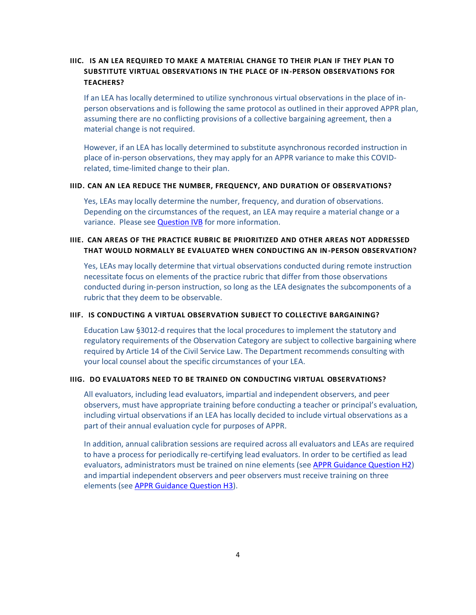# **IIIC. IS AN LEA REQUIRED TO MAKE A MATERIAL CHANGE TO THEIR PLAN IF THEY PLAN TO SUBSTITUTE VIRTUAL OBSERVATIONS IN THE PLACE OF IN-PERSON OBSERVATIONS FOR TEACHERS?**

If an LEA has locally determined to utilize synchronous virtual observations in the place of inperson observations and is following the same protocol as outlined in their approved APPR plan, assuming there are no conflicting provisions of a collective bargaining agreement, then a material change is not required.

However, if an LEA has locally determined to substitute asynchronous recorded instruction in place of in-person observations, they may apply for an APPR variance to make this COVIDrelated, time-limited change to their plan.

#### **IIID. CAN AN LEA REDUCE THE NUMBER, FREQUENCY, AND DURATION OF OBSERVATIONS?**

Yes, LEAs may locally determine the number, frequency, and duration of observations. Depending on the circumstances of the request, an LEA may require a material change or a variance. Please se[e Question IVB](#page-4-0) for more information.

# **IIIE. CAN AREAS OF THE PRACTICE RUBRIC BE PRIORITIZED AND OTHER AREAS NOT ADDRESSED THAT WOULD NORMALLY BE EVALUATED WHEN CONDUCTING AN IN-PERSON OBSERVATION?**

Yes, LEAs may locally determine that virtual observations conducted during remote instruction necessitate focus on elements of the practice rubric that differ from those observations conducted during in-person instruction, so long as the LEA designates the subcomponents of a rubric that they deem to be observable.

#### **IIIF. IS CONDUCTING A VIRTUAL OBSERVATION SUBJECT TO COLLECTIVE BARGAINING?**

Education Law §3012-d requires that the local procedures to implement the statutory and regulatory requirements of the Observation Category are subject to collective bargaining where required by Article 14 of the Civil Service Law. The Department recommends consulting with your local counsel about the specific circumstances of your LEA.

### **IIIG. DO EVALUATORS NEED TO BE TRAINED ON CONDUCTING VIRTUAL OBSERVATIONS?**

All evaluators, including lead evaluators, impartial and independent observers, and peer observers, must have appropriate training before conducting a teacher or principal's evaluation, including virtual observations if an LEA has locally decided to include virtual observations as a part of their annual evaluation cycle for purposes of APPR.

In addition, annual calibration sessions are required across all evaluators and LEAs are required to have a process for periodically re-certifying lead evaluators. In order to be certified as lead evaluators, administrators must be trained on nine elements (see [APPR Guidance Question H2\)](http://www.nysed.gov/educator-quality/appr-statute-regulations-and-guidance) and impartial independent observers and peer observers must receive training on three elements (see [APPR Guidance Question H3\)](http://www.nysed.gov/educator-quality/appr-statute-regulations-and-guidance).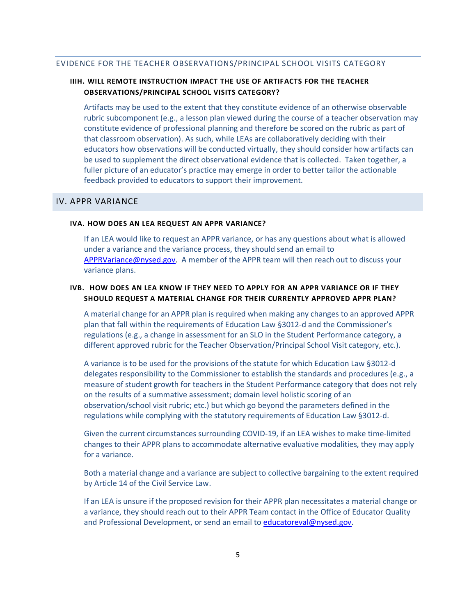### EVIDENCE FOR THE TEACHER OBSERVATIONS/PRINCIPAL SCHOOL VISITS CATEGORY

## **IIIH. WILL REMOTE INSTRUCTION IMPACT THE USE OF ARTIFACTS FOR THE TEACHER OBSERVATIONS/PRINCIPAL SCHOOL VISITS CATEGORY?**

Artifacts may be used to the extent that they constitute evidence of an otherwise observable rubric subcomponent (e.g., a lesson plan viewed during the course of a teacher observation may constitute evidence of professional planning and therefore be scored on the rubric as part of that classroom observation). As such, while LEAs are collaboratively deciding with their educators how observations will be conducted virtually, they should consider how artifacts can be used to supplement the direct observational evidence that is collected. Taken together, a fuller picture of an educator's practice may emerge in order to better tailor the actionable feedback provided to educators to support their improvement.

## IV. APPR VARIANCE

#### **IVA. HOW DOES AN LEA REQUEST AN APPR VARIANCE?**

If an LEA would like to request an APPR variance, or has any questions about what is allowed under a variance and the variance process, they should send an email to [APPRVariance@nysed.gov.](mailto:APPRVariance@nysed.gov) A member of the APPR team will then reach out to discuss your variance plans.

## <span id="page-4-0"></span>**IVB. HOW DOES AN LEA KNOW IF THEY NEED TO APPLY FOR AN APPR VARIANCE OR IF THEY SHOULD REQUEST A MATERIAL CHANGE FOR THEIR CURRENTLY APPROVED APPR PLAN?**

A material change for an APPR plan is required when making any changes to an approved APPR plan that fall within the requirements of Education Law §3012-d and the Commissioner's regulations (e.g., a change in assessment for an SLO in the Student Performance category, a different approved rubric for the Teacher Observation/Principal School Visit category, etc.).

A variance is to be used for the provisions of the statute for which Education Law §3012-d delegates responsibility to the Commissioner to establish the standards and procedures (e.g., a measure of student growth for teachers in the Student Performance category that does not rely on the results of a summative assessment; domain level holistic scoring of an observation/school visit rubric; etc.) but which go beyond the parameters defined in the regulations while complying with the statutory requirements of Education Law §3012-d.

Given the current circumstances surrounding COVID-19, if an LEA wishes to make time-limited changes to their APPR plans to accommodate alternative evaluative modalities, they may apply for a variance.

Both a material change and a variance are subject to collective bargaining to the extent required by Article 14 of the Civil Service Law.

If an LEA is unsure if the proposed revision for their APPR plan necessitates a material change or a variance, they should reach out to their APPR Team contact in the Office of Educator Quality and Professional Development, or send an email t[o educatoreval@nysed.gov.](mailto:educatoreval@nysed.gov)